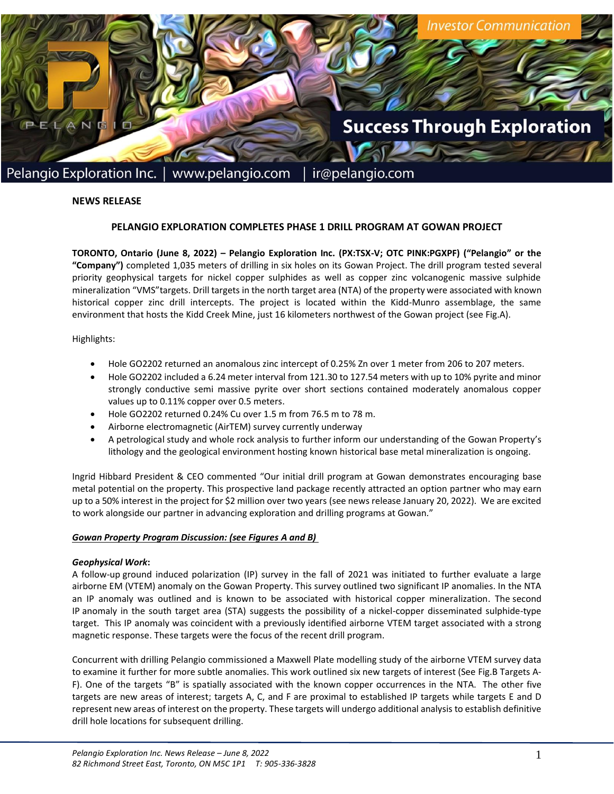

## **NEWS RELEASE**

#### **PELANGIO EXPLORATION COMPLETES PHASE 1 DRILL PROGRAM AT GOWAN PROJECT**

**TORONTO, Ontario (June 8, 2022) – Pelangio Exploration Inc. (PX:TSX-V; OTC PINK:PGXPF) ("Pelangio" or the "Company")** completed 1,035 meters of drilling in six holes on its Gowan Project. The drill program tested several priority geophysical targets for nickel copper sulphides as well as copper zinc volcanogenic massive sulphide mineralization "VMS"targets. Drill targets in the north target area (NTA) of the property were associated with known historical copper zinc drill intercepts. The project is located within the Kidd-Munro assemblage, the same environment that hosts the Kidd Creek Mine, just 16 kilometers northwest of the Gowan project (see Fig.A).

Highlights:

- Hole GO2202 returned an anomalous zinc intercept of 0.25% Zn over 1 meter from 206 to 207 meters.
- Hole GO2202 included a 6.24 meter interval from 121.30 to 127.54 meters with up to 10% pyrite and minor strongly conductive semi massive pyrite over short sections contained moderately anomalous copper values up to 0.11% copper over 0.5 meters.
- Hole GO2202 returned 0.24% Cu over 1.5 m from 76.5 m to 78 m.
- Airborne electromagnetic (AirTEM) survey currently underway
- A petrological study and whole rock analysis to further inform our understanding of the Gowan Property's lithology and the geological environment hosting known historical base metal mineralization is ongoing.

Ingrid Hibbard President & CEO commented "Our initial drill program at Gowan demonstrates encouraging base metal potential on the property. This prospective land package recently attracted an option partner who may earn up to a 50% interest in the project for \$2 million over two years (see news release January 20, 2022). We are excited to work alongside our partner in advancing exploration and drilling programs at Gowan."

#### *Gowan Property Program Discussion: (see Figures A and B)*

#### *Geophysical Work***:**

A follow-up ground induced polarization (IP) survey in the fall of 2021 was initiated to further evaluate a large airborne EM (VTEM) anomaly on the Gowan Property. This survey outlined two significant IP anomalies. In the NTA an IP anomaly was outlined and is known to be associated with historical copper mineralization. The second IP anomaly in the south target area (STA) suggests the possibility of a nickel-copper disseminated sulphide-type target. This IP anomaly was coincident with a previously identified airborne VTEM target associated with a strong magnetic response. These targets were the focus of the recent drill program.

Concurrent with drilling Pelangio commissioned a Maxwell Plate modelling study of the airborne VTEM survey data to examine it further for more subtle anomalies. This work outlined six new targets of interest (See Fig.B Targets A-F). One of the targets "B" is spatially associated with the known copper occurrences in the NTA. The other five targets are new areas of interest; targets A, C, and F are proximal to established IP targets while targets E and D represent new areas of interest on the property. These targets will undergo additional analysis to establish definitive drill hole locations for subsequent drilling.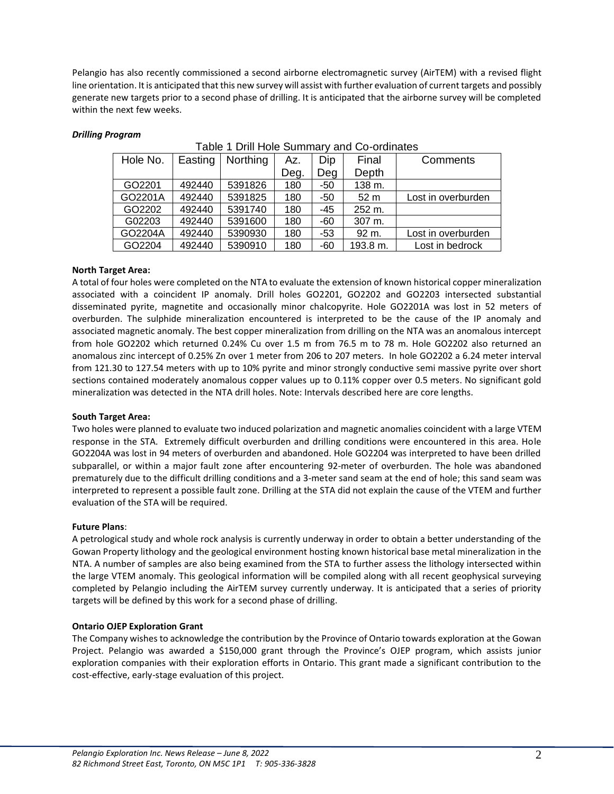Pelangio has also recently commissioned a second airborne electromagnetic survey (AirTEM) with a revised flight line orientation. It is anticipated that this new survey will assist with further evaluation of current targets and possibly generate new targets prior to a second phase of drilling. It is anticipated that the airborne survey will be completed within the next few weeks.

# *Drilling Program*

| Hole No. | Easting | Northing | Az.  | Dip   | Final           | Comments           |
|----------|---------|----------|------|-------|-----------------|--------------------|
|          |         |          | Deg. | Deg   | Depth           |                    |
| GO2201   | 492440  | 5391826  | 180  | -50   | 138 m.          |                    |
| GO2201A  | 492440  | 5391825  | 180  | $-50$ | 52 <sub>m</sub> | Lost in overburden |
| GO2202   | 492440  | 5391740  | 180  | -45   | 252 m.          |                    |
| G02203   | 492440  | 5391600  | 180  | $-60$ | 307 m.          |                    |
| GO2204A  | 492440  | 5390930  | 180  | $-53$ | 92 m.           | Lost in overburden |
| GO2204   | 492440  | 5390910  | 180  | -60   | 193.8 m.        | Lost in bedrock    |

## Table 1 Drill Hole Summary and Co-ordinates

# **North Target Area:**

A total of four holes were completed on the NTA to evaluate the extension of known historical copper mineralization associated with a coincident IP anomaly. Drill holes GO2201, GO2202 and GO2203 intersected substantial disseminated pyrite, magnetite and occasionally minor chalcopyrite. Hole GO2201A was lost in 52 meters of overburden. The sulphide mineralization encountered is interpreted to be the cause of the IP anomaly and associated magnetic anomaly. The best copper mineralization from drilling on the NTA was an anomalous intercept from hole GO2202 which returned 0.24% Cu over 1.5 m from 76.5 m to 78 m. Hole GO2202 also returned an anomalous zinc intercept of 0.25% Zn over 1 meter from 206 to 207 meters. In hole GO2202 a 6.24 meter interval from 121.30 to 127.54 meters with up to 10% pyrite and minor strongly conductive semi massive pyrite over short sections contained moderately anomalous copper values up to 0.11% copper over 0.5 meters. No significant gold mineralization was detected in the NTA drill holes. Note: Intervals described here are core lengths.

## **South Target Area:**

Two holes were planned to evaluate two induced polarization and magnetic anomalies coincident with a large VTEM response in the STA. Extremely difficult overburden and drilling conditions were encountered in this area. Hole GO2204A was lost in 94 meters of overburden and abandoned. Hole GO2204 was interpreted to have been drilled subparallel, or within a major fault zone after encountering 92-meter of overburden. The hole was abandoned prematurely due to the difficult drilling conditions and a 3-meter sand seam at the end of hole; this sand seam was interpreted to represent a possible fault zone. Drilling at the STA did not explain the cause of the VTEM and further evaluation of the STA will be required.

## **Future Plans**:

A petrological study and whole rock analysis is currently underway in order to obtain a better understanding of the Gowan Property lithology and the geological environment hosting known historical base metal mineralization in the NTA. A number of samples are also being examined from the STA to further assess the lithology intersected within the large VTEM anomaly. This geological information will be compiled along with all recent geophysical surveying completed by Pelangio including the AirTEM survey currently underway. It is anticipated that a series of priority targets will be defined by this work for a second phase of drilling.

# **Ontario OJEP Exploration Grant**

The Company wishes to acknowledge the contribution by the Province of Ontario towards exploration at the Gowan Project. Pelangio was awarded a \$150,000 grant through the Province's OJEP program, which assists junior exploration companies with their exploration efforts in Ontario. This grant made a significant contribution to the cost-effective, early-stage evaluation of this project.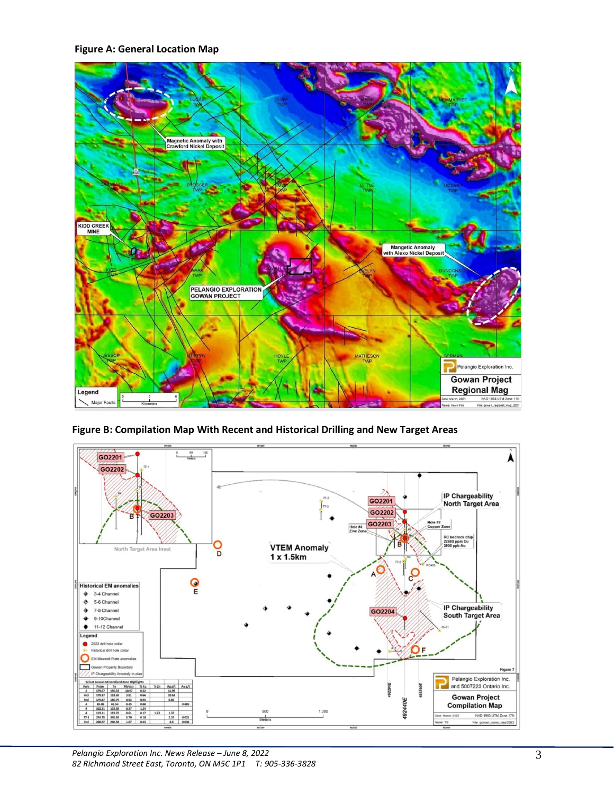**Figure A: General Location Map**



**Figure B: Compilation Map With Recent and Historical Drilling and New Target Areas**